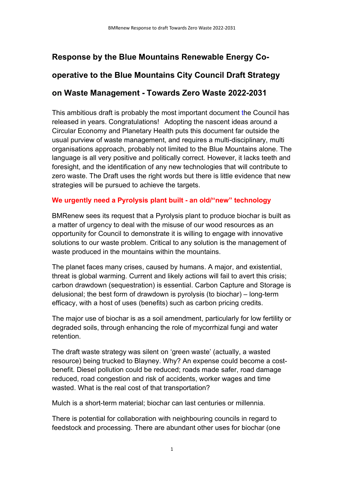# Response by the Blue Mountains Renewable Energy Co-

# operative to the Blue Mountains City Council Draft Strategy

# on Waste Management - Towards Zero Waste 2022-2031

This ambitious draft is probably the most important document the Council has released in years. Congratulations! Adopting the nascent ideas around a Circular Economy and Planetary Health puts this document far outside the usual purview of waste management, and requires a multi-disciplinary, multi organisations approach, probably not limited to the Blue Mountains alone. The language is all very positive and politically correct. However, it lacks teeth and foresight, and the identification of any new technologies that will contribute to zero waste. The Draft uses the right words but there is little evidence that new strategies will be pursued to achieve the targets.

# We urgently need a Pyrolysis plant built - an old/"new" technology

BMRenew sees its request that a Pyrolysis plant to produce biochar is built as a matter of urgency to deal with the misuse of our wood resources as an opportunity for Council to demonstrate it is willing to engage with innovative solutions to our waste problem. Critical to any solution is the management of waste produced in the mountains within the mountains.

The planet faces many crises, caused by humans. A major, and existential, threat is global warming. Current and likely actions will fail to avert this crisis; carbon drawdown (sequestration) is essential. Carbon Capture and Storage is delusional; the best form of drawdown is pyrolysis (to biochar) – long-term efficacy, with a host of uses (benefits) such as carbon pricing credits.

The major use of biochar is as a soil amendment, particularly for low fertility or degraded soils, through enhancing the role of mycorrhizal fungi and water retention.

The draft waste strategy was silent on 'green waste' (actually, a wasted resource) being trucked to Blayney. Why? An expense could become a costbenefit. Diesel pollution could be reduced; roads made safer, road damage reduced, road congestion and risk of accidents, worker wages and time wasted. What is the real cost of that transportation?

Mulch is a short-term material; biochar can last centuries or millennia.

There is potential for collaboration with neighbouring councils in regard to feedstock and processing. There are abundant other uses for biochar (one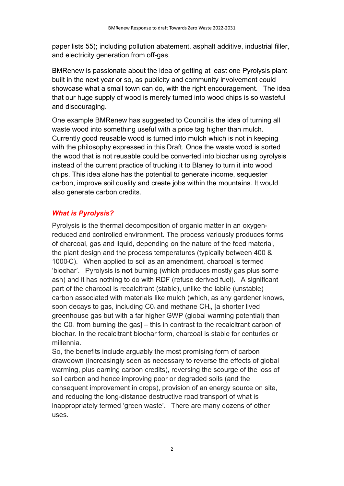paper lists 55); including pollution abatement, asphalt additive, industrial filler, and electricity generation from off-gas.

BMRenew is passionate about the idea of getting at least one Pyrolysis plant built in the next year or so, as publicity and community involvement could showcase what a small town can do, with the right encouragement. The idea that our huge supply of wood is merely turned into wood chips is so wasteful and discouraging.

One example BMRenew has suggested to Council is the idea of turning all waste wood into something useful with a price tag higher than mulch. Currently good reusable wood is turned into mulch which is not in keeping with the philosophy expressed in this Draft. Once the waste wood is sorted the wood that is not reusable could be converted into biochar using pyrolysis instead of the current practice of trucking it to Blaney to turn it into wood chips. This idea alone has the potential to generate income, sequester carbon, improve soil quality and create jobs within the mountains. It would also generate carbon credits.

## What is Pyrolysis?

Pyrolysis is the thermal decomposition of organic matter in an oxygenreduced and controlled environment. The process variously produces forms of charcoal, gas and liquid, depending on the nature of the feed material, the plant design and the process temperatures (typically between 400 & 1000<sup>°</sup>C). When applied to soil as an amendment, charcoal is termed 'biochar'. Pyrolysis is not burning (which produces mostly gas plus some ash) and it has nothing to do with RDF (refuse derived fuel). A significant part of the charcoal is recalcitrant (stable), unlike the labile (unstable) carbon associated with materials like mulch (which, as any gardener knows, soon decays to gas, including C0, and methane CH<sub>4</sub>, [a shorter lived] greenhouse gas but with a far higher GWP (global warming potential) than the  $CO<sub>2</sub>$  from burning the gas] – this in contrast to the recalcitrant carbon of biochar. In the recalcitrant biochar form, charcoal is stable for centuries or millennia.

So, the benefits include arguably the most promising form of carbon drawdown (increasingly seen as necessary to reverse the effects of global warming, plus earning carbon credits), reversing the scourge of the loss of soil carbon and hence improving poor or degraded soils (and the consequent improvement in crops), provision of an energy source on site, and reducing the long-distance destructive road transport of what is inappropriately termed 'green waste'. There are many dozens of other uses.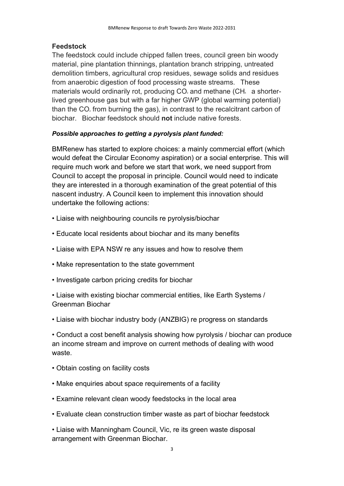#### Feedstock

The feedstock could include chipped fallen trees, council green bin woody material, pine plantation thinnings, plantation branch stripping, untreated demolition timbers, agricultural crop residues, sewage solids and residues from anaerobic digestion of food processing waste streams. These materials would ordinarily rot, producing  $CO<sub>2</sub>$  and methane (CH<sub>4</sub> a shorterlived greenhouse gas but with a far higher GWP (global warming potential) than the  $CO<sub>2</sub>$  from burning the gas), in contrast to the recalcitrant carbon of biochar. Biochar feedstock should not include native forests.

#### Possible approaches to getting a pyrolysis plant funded:

BMRenew has started to explore choices: a mainly commercial effort (which would defeat the Circular Economy aspiration) or a social enterprise. This will require much work and before we start that work, we need support from Council to accept the proposal in principle. Council would need to indicate they are interested in a thorough examination of the great potential of this nascent industry. A Council keen to implement this innovation should undertake the following actions:

- Liaise with neighbouring councils re pyrolysis/biochar
- Educate local residents about biochar and its many benefits
- Liaise with EPA NSW re any issues and how to resolve them
- Make representation to the state government
- Investigate carbon pricing credits for biochar

• Liaise with existing biochar commercial entities, like Earth Systems / Greenman Biochar

• Liaise with biochar industry body (ANZBIG) re progress on standards

• Conduct a cost benefit analysis showing how pyrolysis / biochar can produce an income stream and improve on current methods of dealing with wood waste.

- Obtain costing on facility costs
- Make enquiries about space requirements of a facility
- Examine relevant clean woody feedstocks in the local area
- Evaluate clean construction timber waste as part of biochar feedstock

• Liaise with Manningham Council, Vic, re its green waste disposal arrangement with Greenman Biochar.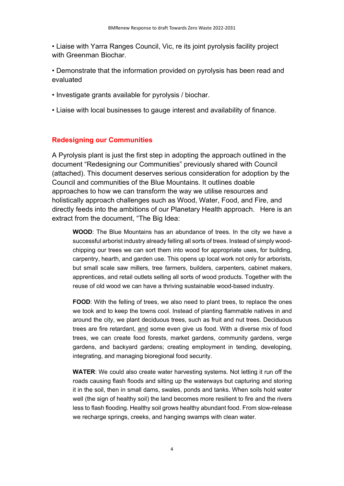• Liaise with Yarra Ranges Council, Vic, re its joint pyrolysis facility project with Greenman Biochar.

• Demonstrate that the information provided on pyrolysis has been read and evaluated

- Investigate grants available for pyrolysis / biochar.
- Liaise with local businesses to gauge interest and availability of finance.

#### Redesigning our Communities

A Pyrolysis plant is just the first step in adopting the approach outlined in the document "Redesigning our Communities" previously shared with Council (attached). This document deserves serious consideration for adoption by the Council and communities of the Blue Mountains. It outlines doable approaches to how we can transform the way we utilise resources and holistically approach challenges such as Wood, Water, Food, and Fire, and directly feeds into the ambitions of our Planetary Health approach. Here is an extract from the document, "The Big Idea:

WOOD: The Blue Mountains has an abundance of trees. In the city we have a successful arborist industry already felling all sorts of trees. Instead of simply woodchipping our trees we can sort them into wood for appropriate uses, for building, carpentry, hearth, and garden use. This opens up local work not only for arborists, but small scale saw millers, tree farmers, builders, carpenters, cabinet makers, apprentices, and retail outlets selling all sorts of wood products. Together with the reuse of old wood we can have a thriving sustainable wood-based industry.

FOOD: With the felling of trees, we also need to plant trees, to replace the ones we took and to keep the towns cool. Instead of planting flammable natives in and around the city, we plant deciduous trees, such as fruit and nut trees. Deciduous trees are fire retardant, and some even give us food. With a diverse mix of food trees, we can create food forests, market gardens, community gardens, verge gardens, and backyard gardens; creating employment in tending, developing, integrating, and managing bioregional food security.

WATER: We could also create water harvesting systems. Not letting it run off the roads causing flash floods and silting up the waterways but capturing and storing it in the soil, then in small dams, swales, ponds and tanks. When soils hold water well (the sign of healthy soil) the land becomes more resilient to fire and the rivers less to flash flooding. Healthy soil grows healthy abundant food. From slow-release we recharge springs, creeks, and hanging swamps with clean water.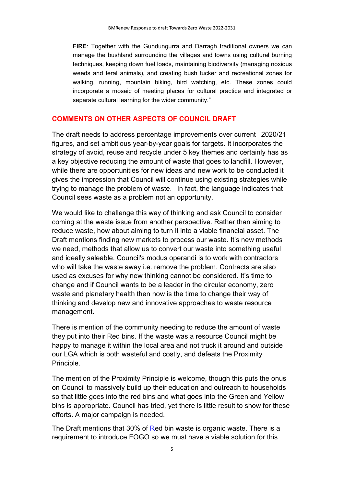FIRE: Together with the Gundungurra and Darragh traditional owners we can manage the bushland surrounding the villages and towns using cultural burning techniques, keeping down fuel loads, maintaining biodiversity (managing noxious weeds and feral animals), and creating bush tucker and recreational zones for walking, running, mountain biking, bird watching, etc. These zones could incorporate a mosaic of meeting places for cultural practice and integrated or separate cultural learning for the wider community."

#### COMMENTS ON OTHER ASPECTS OF COUNCIL DRAFT

The draft needs to address percentage improvements over current 2020/21 figures, and set ambitious year-by-year goals for targets. It incorporates the strategy of avoid, reuse and recycle under 5 key themes and certainly has as a key objective reducing the amount of waste that goes to landfill. However, while there are opportunities for new ideas and new work to be conducted it gives the impression that Council will continue using existing strategies while trying to manage the problem of waste. In fact, the language indicates that Council sees waste as a problem not an opportunity.

We would like to challenge this way of thinking and ask Council to consider coming at the waste issue from another perspective. Rather than aiming to reduce waste, how about aiming to turn it into a viable financial asset. The Draft mentions finding new markets to process our waste. It's new methods we need, methods that allow us to convert our waste into something useful and ideally saleable. Council's modus operandi is to work with contractors who will take the waste away i.e. remove the problem. Contracts are also used as excuses for why new thinking cannot be considered. It's time to change and if Council wants to be a leader in the circular economy, zero waste and planetary health then now is the time to change their way of thinking and develop new and innovative approaches to waste resource management.

There is mention of the community needing to reduce the amount of waste they put into their Red bins. If the waste was a resource Council might be happy to manage it within the local area and not truck it around and outside our LGA which is both wasteful and costly, and defeats the Proximity Principle.

The mention of the Proximity Principle is welcome, though this puts the onus on Council to massively build up their education and outreach to households so that little goes into the red bins and what goes into the Green and Yellow bins is appropriate. Council has tried, yet there is little result to show for these efforts. A major campaign is needed.

The Draft mentions that 30% of Red bin waste is organic waste. There is a requirement to introduce FOGO so we must have a viable solution for this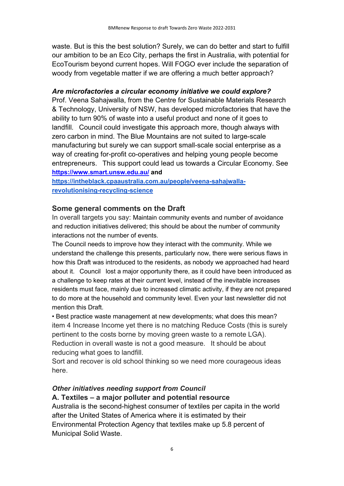waste. But is this the best solution? Surely, we can do better and start to fulfill our ambition to be an Eco City, perhaps the first in Australia, with potential for EcoTourism beyond current hopes. Will FOGO ever include the separation of woody from vegetable matter if we are offering a much better approach?

#### Are microfactories a circular economy initiative we could explore?

Prof. Veena Sahajwalla, from the Centre for Sustainable Materials Research & Technology, University of NSW, has developed microfactories that have the ability to turn 90% of waste into a useful product and none of it goes to landfill. Council could investigate this approach more, though always with zero carbon in mind. The Blue Mountains are not suited to large-scale manufacturing but surely we can support small-scale social enterprise as a way of creating for-profit co-operatives and helping young people become entrepreneurs. This support could lead us towards a Circular Economy. See https://www.smart.unsw.edu.au/ and

https://intheblack.cpaaustralia.com.au/people/veena-sahajwallarevolutionising-recycling-science

#### Some general comments on the Draft

In overall targets you say: Maintain community events and number of avoidance and reduction initiatives delivered; this should be about the number of community interactions not the number of events.

The Council needs to improve how they interact with the community. While we understand the challenge this presents, particularly now, there were serious flaws in how this Draft was introduced to the residents, as nobody we approached had heard about it. Council lost a major opportunity there, as it could have been introduced as a challenge to keep rates at their current level, instead of the inevitable increases residents must face, mainly due to increased climatic activity, if they are not prepared to do more at the household and community level. Even your last newsletter did not mention this Draft.

• Best practice waste management at new developments; what does this mean? item 4 Increase Income yet there is no matching Reduce Costs (this is surely pertinent to the costs borne by moving green waste to a remote LGA). Reduction in overall waste is not a good measure. It should be about reducing what goes to landfill.

Sort and recover is old school thinking so we need more courageous ideas here.

#### Other initiatives needing support from Council

#### A. Textiles – a major polluter and potential resource

Australia is the second-highest consumer of textiles per capita in the world after the United States of America where it is estimated by their Environmental Protection Agency that textiles make up 5.8 percent of Municipal Solid Waste.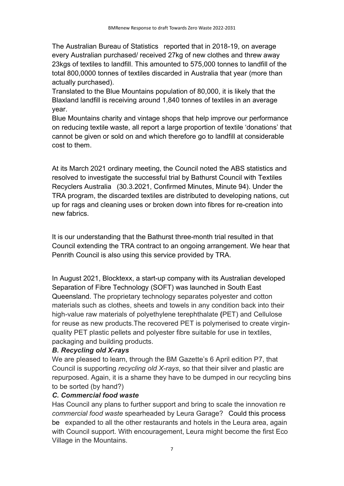The Australian Bureau of Statistics reported that in 2018-19, on average every Australian purchased/ received 27kg of new clothes and threw away 23kgs of textiles to landfill. This amounted to 575,000 tonnes to landfill of the total 800,0000 tonnes of textiles discarded in Australia that year (more than actually purchased).

Translated to the Blue Mountains population of 80,000, it is likely that the Blaxland landfill is receiving around 1,840 tonnes of textiles in an average year.

Blue Mountains charity and vintage shops that help improve our performance on reducing textile waste, all report a large proportion of textile 'donations' that cannot be given or sold on and which therefore go to landfill at considerable cost to them.

At its March 2021 ordinary meeting, the Council noted the ABS statistics and resolved to investigate the successful trial by Bathurst Council with Textiles Recyclers Australia (30.3.2021, Confirmed Minutes, Minute 94). Under the TRA program, the discarded textiles are distributed to developing nations, cut up for rags and cleaning uses or broken down into fibres for re-creation into new fabrics.

It is our understanding that the Bathurst three-month trial resulted in that Council extending the TRA contract to an ongoing arrangement. We hear that Penrith Council is also using this service provided by TRA.

In August 2021, Blocktexx, a start-up company with its Australian developed Separation of Fibre Technology (SOFT) was launched in South East Queensland. The proprietary technology separates polyester and cotton materials such as clothes, sheets and towels in any condition back into their high-value raw materials of polyethylene terephthalate (PET) and Cellulose for reuse as new products.The recovered PET is polymerised to create virginquality PET plastic pellets and polyester fibre suitable for use in textiles, packaging and building products.

## B. Recycling old X-rays

We are pleased to learn, through the BM Gazette's 6 April edition P7, that Council is supporting recycling old X-rays, so that their silver and plastic are repurposed. Again, it is a shame they have to be dumped in our recycling bins to be sorted (by hand?)

#### C. Commercial food waste

Has Council any plans to further support and bring to scale the innovation re commercial food waste spearheaded by Leura Garage? Could this process be expanded to all the other restaurants and hotels in the Leura area, again with Council support. With encouragement, Leura might become the first Eco Village in the Mountains.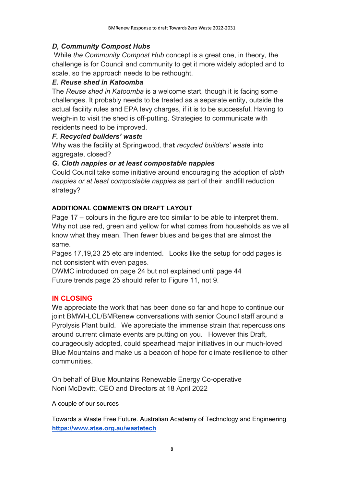# D, Community Compost Hubs

 While the Community Compost Hub concept is a great one, in theory, the challenge is for Council and community to get it more widely adopted and to scale, so the approach needs to be rethought.

# E. Reuse shed in Katoomba

The Reuse shed in Katoomba is a welcome start, though it is facing some challenges. It probably needs to be treated as a separate entity, outside the actual facility rules and EPA levy charges, if it is to be successful. Having to weigh-in to visit the shed is off-putting. Strategies to communicate with residents need to be improved.

## F. Recycled builders' waste

Why was the facility at Springwood, that recycled builders' waste into aggregate, closed?

## G. Cloth nappies or at least compostable nappies

Could Council take some initiative around encouraging the adoption of cloth nappies or at least compostable nappies as part of their landfill reduction strategy?

# ADDITIONAL COMMENTS ON DRAFT LAYOUT

Page 17 – colours in the figure are too similar to be able to interpret them. Why not use red, green and yellow for what comes from households as we all know what they mean. Then fewer blues and beiges that are almost the same.

Pages 17,19,23 25 etc are indented. Looks like the setup for odd pages is not consistent with even pages.

DWMC introduced on page 24 but not explained until page 44 Future trends page 25 should refer to Figure 11, not 9.

## IN CLOSING

We appreciate the work that has been done so far and hope to continue our joint BMWI-LCL/BMRenew conversations with senior Council staff around a Pyrolysis Plant build. We appreciate the immense strain that repercussions around current climate events are putting on you. However this Draft, courageously adopted, could spearhead major initiatives in our much-loved Blue Mountains and make us a beacon of hope for climate resilience to other communities.

On behalf of Blue Mountains Renewable Energy Co-operative Noni McDevitt, CEO and Directors at 18 April 2022

A couple of our sources

Towards a Waste Free Future. Australian Academy of Technology and Engineering https://www.atse.org.au/wastetech